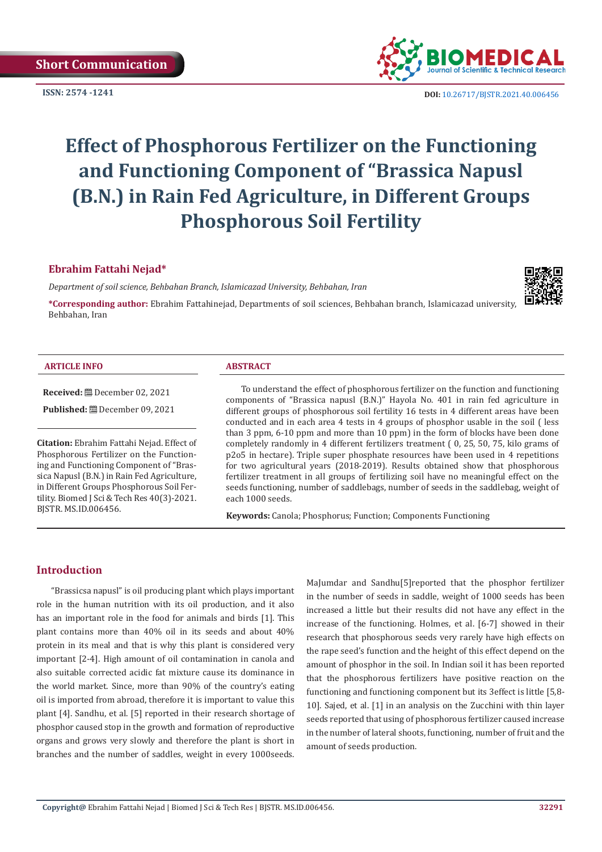

**ISSN:** 2574 -1241 **DOI:** [10.26717/BJSTR.2021.40.006456](https://dx.doi.org/10.26717/BJSTR.2021.40.006456)

# **Effect of Phosphorous Fertilizer on the Functioning and Functioning Component of "Brassica Napusl (B.N.) in Rain Fed Agriculture, in Different Groups Phosphorous Soil Fertility**

## **Ebrahim Fattahi Nejad\***

*Department of soil science, Behbahan Branch, Islamicazad University, Behbahan, Iran*



**\*Corresponding author:** Ebrahim Fattahinejad, Departments of soil sciences, Behbahan branch, Islamicazad university, Behbahan, Iran

#### **ARTICLE INFO ABSTRACT**

#### **Received:** December 02, 2021

**Published:** December 09, 2021

**Citation:** Ebrahim Fattahi Nejad. Effect of Phosphorous Fertilizer on the Functioning and Functioning Component of "Brassica Napusl (B.N.) in Rain Fed Agriculture, in Different Groups Phosphorous Soil Fertility. Biomed J Sci & Tech Res 40(3)-2021. BJSTR. MS.ID.006456.

To understand the effect of phosphorous fertilizer on the function and functioning components of "Brassica napusl (B.N.)" Hayola No. 401 in rain fed agriculture in different groups of phosphorous soil fertility 16 tests in 4 different areas have been conducted and in each area 4 tests in 4 groups of phosphor usable in the soil ( less than 3 ppm, 6-10 ppm and more than 10 ppm) in the form of blocks have been done completely randomly in 4 different fertilizers treatment ( 0, 25, 50, 75, kilo grams of p2o5 in hectare). Triple super phosphate resources have been used in 4 repetitions for two agricultural years (2018-2019). Results obtained show that phosphorous fertilizer treatment in all groups of fertilizing soil have no meaningful effect on the seeds functioning, number of saddlebags, number of seeds in the saddlebag, weight of each 1000 seeds.

**Keywords:** Canola; Phosphorus; Function; Components Functioning

# **Introduction**

"Brassicsa napusl" is oil producing plant which plays important role in the human nutrition with its oil production, and it also has an important role in the food for animals and birds [1]. This plant contains more than 40% oil in its seeds and about 40% protein in its meal and that is why this plant is considered very important [2-4]. High amount of oil contamination in canola and also suitable corrected acidic fat mixture cause its dominance in the world market. Since, more than 90% of the country's eating oil is imported from abroad, therefore it is important to value this plant [4]. Sandhu, et al. [5] reported in their research shortage of phosphor caused stop in the growth and formation of reproductive organs and grows very slowly and therefore the plant is short in branches and the number of saddles, weight in every 1000seeds.

MaJumdar and Sandhu[5]reported that the phosphor fertilizer in the number of seeds in saddle, weight of 1000 seeds has been increased a little but their results did not have any effect in the increase of the functioning. Holmes, et al. [6-7] showed in their research that phosphorous seeds very rarely have high effects on the rape seed's function and the height of this effect depend on the amount of phosphor in the soil. In Indian soil it has been reported that the phosphorous fertilizers have positive reaction on the functioning and functioning component but its 3effect is little [5,8- 10]. Sajed, et al. [1] in an analysis on the Zucchini with thin layer seeds reported that using of phosphorous fertilizer caused increase in the number of lateral shoots, functioning, number of fruit and the amount of seeds production.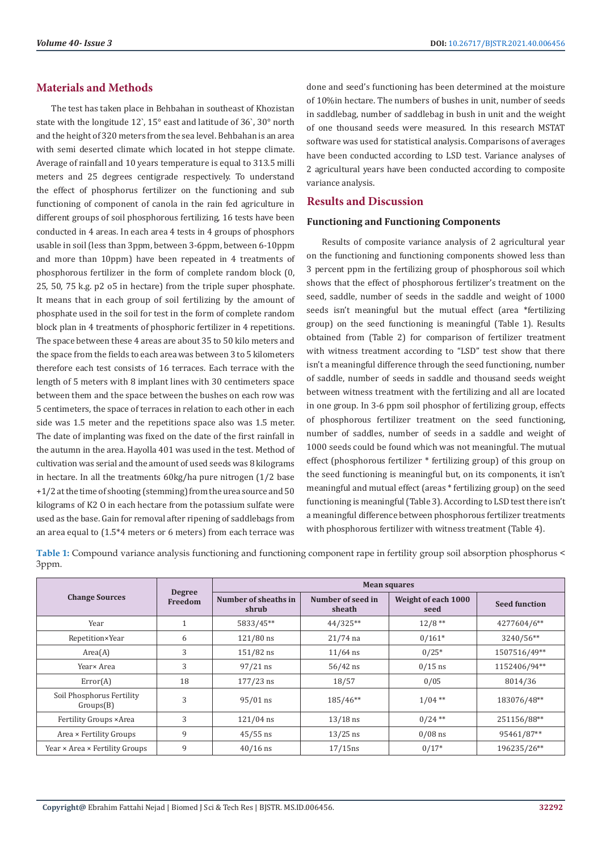# **Materials and Methods**

The test has taken place in Behbahan in southeast of Khozistan state with the longitude 12`, 15° east and latitude of 36`, 30° north and the height of 320 meters from the sea level. Behbahan is an area with semi deserted climate which located in hot steppe climate. Average of rainfall and 10 years temperature is equal to 313.5 milli meters and 25 degrees centigrade respectively. To understand the effect of phosphorus fertilizer on the functioning and sub functioning of component of canola in the rain fed agriculture in different groups of soil phosphorous fertilizing, 16 tests have been conducted in 4 areas. In each area 4 tests in 4 groups of phosphors usable in soil (less than 3ppm, between 3-6ppm, between 6-10ppm and more than 10ppm) have been repeated in 4 treatments of phosphorous fertilizer in the form of complete random block (0, 25, 50, 75 k.g. p2 o5 in hectare) from the triple super phosphate. It means that in each group of soil fertilizing by the amount of phosphate used in the soil for test in the form of complete random block plan in 4 treatments of phosphoric fertilizer in 4 repetitions. The space between these 4 areas are about 35 to 50 kilo meters and the space from the fields to each area was between 3 to 5 kilometers therefore each test consists of 16 terraces. Each terrace with the length of 5 meters with 8 implant lines with 30 centimeters space between them and the space between the bushes on each row was 5 centimeters, the space of terraces in relation to each other in each side was 1.5 meter and the repetitions space also was 1.5 meter. The date of implanting was fixed on the date of the first rainfall in the autumn in the area. Hayolla 401 was used in the test. Method of cultivation was serial and the amount of used seeds was 8 kilograms in hectare. In all the treatments 60kg/ha pure nitrogen (1/2 base +1/2 at the time of shooting (stemming) from the urea source and 50 kilograms of K2 O in each hectare from the potassium sulfate were used as the base. Gain for removal after ripening of saddlebags from an area equal to (1.5\*4 meters or 6 meters) from each terrace was

done and seed's functioning has been determined at the moisture of 10%in hectare. The numbers of bushes in unit, number of seeds in saddlebag, number of saddlebag in bush in unit and the weight of one thousand seeds were measured. In this research MSTAT software was used for statistical analysis. Comparisons of averages have been conducted according to LSD test. Variance analyses of 2 agricultural years have been conducted according to composite variance analysis.

# **Results and Discussion**

#### **Functioning and Functioning Components**

Results of composite variance analysis of 2 agricultural year on the functioning and functioning components showed less than 3 percent ppm in the fertilizing group of phosphorous soil which shows that the effect of phosphorous fertilizer's treatment on the seed, saddle, number of seeds in the saddle and weight of 1000 seeds isn't meaningful but the mutual effect (area \*fertilizing group) on the seed functioning is meaningful (Table 1). Results obtained from (Table 2) for comparison of fertilizer treatment with witness treatment according to "LSD" test show that there isn't a meaningful difference through the seed functioning, number of saddle, number of seeds in saddle and thousand seeds weight between witness treatment with the fertilizing and all are located in one group. In 3-6 ppm soil phosphor of fertilizing group, effects of phosphorous fertilizer treatment on the seed functioning, number of saddles, number of seeds in a saddle and weight of 1000 seeds could be found which was not meaningful. The mutual effect (phosphorous fertilizer \* fertilizing group) of this group on the seed functioning is meaningful but, on its components, it isn't meaningful and mutual effect (areas \* fertilizing group) on the seed functioning is meaningful (Table 3). According to LSD test there isn't a meaningful difference between phosphorous fertilizer treatments with phosphorous fertilizer with witness treatment (Table 4).

**Table 1:** Compound variance analysis functioning and functioning component rape in fertility group soil absorption phosphorus < 3ppm.

|                                        |                          | <b>Mean squares</b>           |                             |                             |                      |  |  |  |
|----------------------------------------|--------------------------|-------------------------------|-----------------------------|-----------------------------|----------------------|--|--|--|
| <b>Change Sources</b>                  | <b>Degree</b><br>Freedom | Number of sheaths in<br>shrub | Number of seed in<br>sheath | Weight of each 1000<br>seed | <b>Seed function</b> |  |  |  |
| Year                                   |                          | 5833/45**                     | 44/325**                    | $12/8$ **                   | 4277604/6**          |  |  |  |
| Repetition×Year                        | 6                        | $121/80$ ns                   | $21/74$ na                  | $0/161*$                    | 3240/56**            |  |  |  |
| Area(A)                                | 3                        | $151/82$ ns                   | $11/64$ ns                  | $0/25*$                     | 1507516/49**         |  |  |  |
| Year× Area                             | 3                        | $97/21$ ns                    | $56/42$ ns                  | $0/15$ ns                   | 1152406/94**         |  |  |  |
| Error(A)                               | 18                       | $177/23$ ns                   | 18/57                       | 0/05                        | 8014/36              |  |  |  |
| Soil Phosphorus Fertility<br>Groups(B) | 3                        | $95/01$ ns                    | 185/46**                    | $1/04$ **                   | 183076/48**          |  |  |  |
| Fertility Groups × Area                | 3                        | $121/04$ ns                   | $13/18$ ns                  | $0/24$ **                   | 251156/88**          |  |  |  |
| Area × Fertility Groups                | 9                        | $45/55$ ns                    | $13/25$ ns                  | $0/08$ ns                   | 95461/87**           |  |  |  |
| Year × Area × Fertility Groups         | 9                        | $40/16$ ns                    | $17/15$ ns                  | $0/17*$                     | 196235/26**          |  |  |  |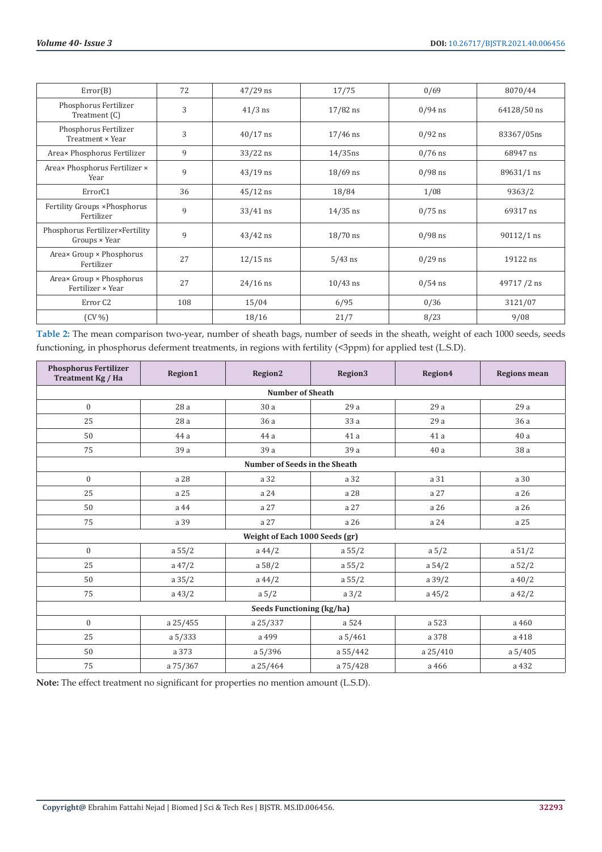| Error(B)                                                | 72  | $47/29$ ns | 17/75      | 0/69      | 8070/44      |
|---------------------------------------------------------|-----|------------|------------|-----------|--------------|
| Phosphorus Fertilizer<br>Treatment $(C)$                | 3   | $41/3$ ns  | $17/82$ ns | $0/94$ ns | 64128/50 ns  |
| Phosphorus Fertilizer<br>Treatment × Year               | 3   | $40/17$ ns | $17/46$ ns | $0/92$ ns | 83367/05ns   |
| Area× Phosphorus Fertilizer                             | 9   | $33/22$ ns | $14/35$ ns | $0/76$ ns | 68947 ns     |
| Area× Phosphorus Fertilizer ×<br>Year                   | 9   | $43/19$ ns | $18/69$ ns | $0/98$ ns | 89631/1 ns   |
| ErrorC1                                                 | 36  | $45/12$ ns | 18/84      | 1/08      | 9363/2       |
| Fertility Groups × Phosphorus<br>Fertilizer             | 9   | $33/41$ ns | $14/35$ ns | $0/75$ ns | 69317 ns     |
| Phosphorus Fertilizer×Fertility<br>$Groups \times Year$ | 9   | $43/42$ ns | $18/70$ ns | $0/98$ ns | $90112/1$ ns |
| Areax Group × Phosphorus<br>Fertilizer                  | 27  | $12/15$ ns | $5/43$ ns  | $0/29$ ns | 19122 ns     |
| Area× Group × Phosphorus<br>Fertilizer × Year           | 27  | $24/16$ ns | $10/43$ ns | $0/54$ ns | 49717/2 ns   |
| Error C <sub>2</sub>                                    | 108 | 15/04      | 6/95       | 0/36      | 3121/07      |
| $(CV\%)$                                                |     | 18/16      | 21/7       | 8/23      | 9/08         |

**Table 2:** The mean comparison two-year, number of sheath bags, number of seeds in the sheath, weight of each 1000 seeds, seeds functioning, in phosphorus deferment treatments, in regions with fertility (<3ppm) for applied test (L.S.D).

| <b>Phosphorus Fertilizer</b><br>Treatment Kg / Ha | Region1   | Region2                              | Region3         | Region4   | <b>Regions mean</b> |  |  |  |  |  |
|---------------------------------------------------|-----------|--------------------------------------|-----------------|-----------|---------------------|--|--|--|--|--|
| <b>Number of Sheath</b>                           |           |                                      |                 |           |                     |  |  |  |  |  |
| $\mathbf{0}$                                      | 28a       | 30 a                                 | 29a             | 29a       | 29a                 |  |  |  |  |  |
| 25                                                | 28 a      | 36a                                  | 33 a            | 29 a      | 36 a                |  |  |  |  |  |
| 50                                                | 44 a      | 44 a                                 | 41 a            | 41 a      | 40a                 |  |  |  |  |  |
| 75                                                | 39a       | 39 a                                 | 39a             | 40a       | 38 a                |  |  |  |  |  |
|                                                   |           | <b>Number of Seeds in the Sheath</b> |                 |           |                     |  |  |  |  |  |
| $\mathbf{0}$                                      | a 28      | a 32                                 | a 32            | a 31      | a 30                |  |  |  |  |  |
| 25                                                | a 25      | a 24                                 | a 28            | a 27      | a 26                |  |  |  |  |  |
| 50                                                | a 44      | a 27                                 | a 27            | a 26      | a 26                |  |  |  |  |  |
| 75                                                | a 39      | a 27                                 | a 26            | a 24      | a 25                |  |  |  |  |  |
|                                                   |           | Weight of Each 1000 Seeds (gr)       |                 |           |                     |  |  |  |  |  |
| $\mathbf{0}$                                      | a 55/2    | $a\,44/2$                            | a 55/2          | a 5/2     | a 51/2              |  |  |  |  |  |
| 25                                                | $a\ 47/2$ | a 58/2                               | a 55/2          | a $54/2$  | a 52/2              |  |  |  |  |  |
| 50                                                | a 35/2    | $a\,44/2$                            | a 55/2          | a $39/2$  | a $40/2$            |  |  |  |  |  |
| 75                                                | $a\ 43/2$ | a 5/2                                | $a \frac{3}{2}$ | $a\,45/2$ | a $42/2$            |  |  |  |  |  |
|                                                   |           | Seeds Functioning (kg/ha)            |                 |           |                     |  |  |  |  |  |
| $\mathbf{0}$                                      | a 25/455  | a 25/337                             | a 524           | a 523     | a 460               |  |  |  |  |  |
| 25                                                | a 5/333   | a 499                                | a 5/461         | a 378     | a 418               |  |  |  |  |  |
| 50                                                | a 373     | a 5/396                              | a 55/442        | a 25/410  | a 5/405             |  |  |  |  |  |
| 75                                                | a 75/367  | a 25/464                             | a 75/428        | a 466     | a 432               |  |  |  |  |  |

**Note:** The effect treatment no significant for properties no mention amount (L.S.D).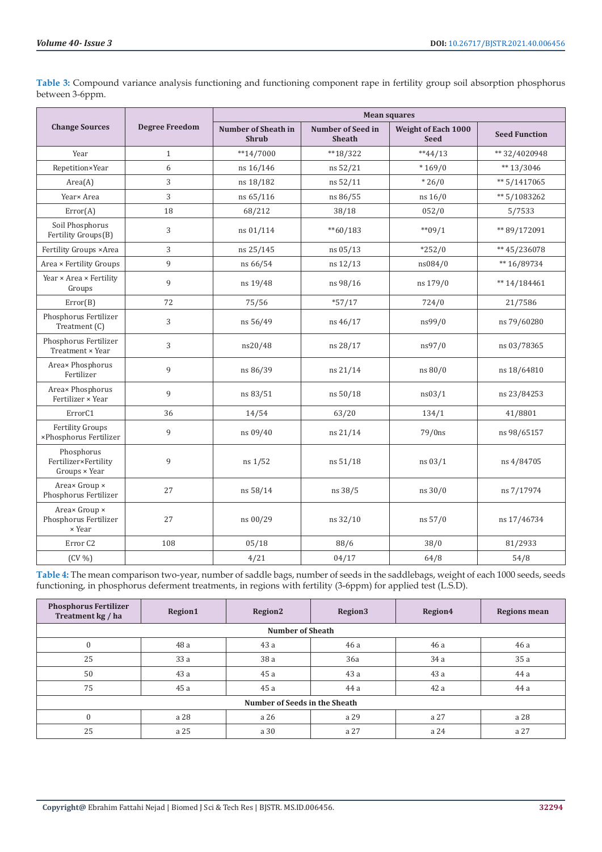|                                                     |                       |                                            |                                           | <b>Mean squares</b>                |                      |
|-----------------------------------------------------|-----------------------|--------------------------------------------|-------------------------------------------|------------------------------------|----------------------|
| <b>Change Sources</b>                               | <b>Degree Freedom</b> | <b>Number of Sheath in</b><br><b>Shrub</b> | <b>Number of Seed in</b><br><b>Sheath</b> | Weight of Each 1000<br><b>Seed</b> | <b>Seed Function</b> |
| Year                                                | $\mathbf{1}$          | $**14/7000$                                | $**18/322$                                | $**44/13$                          | ** 32/4020948        |
| Repetition×Year                                     | 6                     | ns 16/146                                  | ns 52/21                                  | $*169/0$                           | ** $13/3046$         |
| Area(A)                                             | 3                     | ns 18/182                                  | ns 52/11                                  | $*26/0$                            | $** 5/1417065$       |
| Year× Area                                          | 3                     | ns 65/116                                  | ns 86/55                                  | ns 16/0                            | ** 5/1083262         |
| Error(A)                                            | 18                    | 68/212                                     | 38/18                                     | 052/0                              | 5/7533               |
| Soil Phosphorus<br>Fertility Groups(B)              | 3                     | ns 01/114                                  | $*$ 60/183                                | $*$ $09/1$                         | ** 89/172091         |
| Fertility Groups × Area                             | 3                     | ns 25/145                                  | ns 05/13                                  | $*252/0$                           | ** 45/236078         |
| Area × Fertility Groups                             | 9                     | ns 66/54                                   | ns 12/13                                  | ns084/0                            | ** 16/89734          |
| Year × Area × Fertility<br>Groups                   | 9                     | ns 19/48                                   | ns 98/16                                  | ns 179/0                           | $** 14/184461$       |
| Error(B)                                            | 72                    | 75/56                                      | $*57/17$                                  | 724/0                              | 21/7586              |
| Phosphorus Fertilizer<br>Treatment (C)              | 3                     | ns 56/49                                   | ns 46/17                                  | ns99/0                             | ns 79/60280          |
| Phosphorus Fertilizer<br>Treatment × Year           | 3                     | ns20/48                                    | ns 28/17                                  | ns97/0                             | ns 03/78365          |
| Area× Phosphorus<br>Fertilizer                      | 9                     | ns 86/39                                   | ns 21/14                                  | ns 80/0                            | ns 18/64810          |
| Area× Phosphorus<br>Fertilizer × Year               | 9                     | ns 83/51                                   | ns 50/18                                  | ns03/1                             | ns 23/84253          |
| ErrorC1                                             | 36                    | 14/54                                      | 63/20                                     | 134/1                              | 41/8801              |
| <b>Fertility Groups</b><br>×Phosphorus Fertilizer   | 9                     | ns 09/40                                   | ns 21/14                                  | $79/0$ ns                          | ns 98/65157          |
| Phosphorus<br>Fertilizer×Fertility<br>Groups × Year | 9                     | ns 1/52                                    | ns 51/18                                  | ns 03/1                            | ns 4/84705           |
| Areax Group ×<br>Phosphorus Fertilizer              | 27                    | ns 58/14                                   | ns 38/5                                   | ns 30/0                            | ns 7/17974           |
| Area× Group ×<br>Phosphorus Fertilizer<br>× Year    | 27                    | ns 00/29                                   | ns 32/10                                  | ns 57/0                            | ns 17/46734          |
| Error <sub>C2</sub>                                 | 108                   | 05/18                                      | 88/6                                      | 38/0                               | 81/2933              |
| $(CV\% )$                                           |                       | 4/21                                       | 04/17                                     | 64/8                               | 54/8                 |

**Table 3:** Compound variance analysis functioning and functioning component rape in fertility group soil absorption phosphorus between 3-6ppm.

**Table 4:** The mean comparison two-year, number of saddle bags, number of seeds in the saddlebags, weight of each 1000 seeds, seeds functioning, in phosphorus deferment treatments, in regions with fertility (3-6ppm) for applied test (L.S.D).

| <b>Phosphorus Fertilizer</b><br>Treatment kg / ha | <b>Region1</b> | Region <sub>2</sub> | Region3 | Region4 | <b>Regions mean</b> |  |  |  |  |  |
|---------------------------------------------------|----------------|---------------------|---------|---------|---------------------|--|--|--|--|--|
| <b>Number of Sheath</b>                           |                |                     |         |         |                     |  |  |  |  |  |
| $\mathbf{0}$                                      | 48 a           | 43 a                | 46 a    | 46 a    | 46 a                |  |  |  |  |  |
| 25                                                | 33 a           | 38 a                | 36a     | 34a     | 35 a                |  |  |  |  |  |
| 50                                                | 43a            | 45 a                | 43 a    | 43a     | 44 a                |  |  |  |  |  |
| 75                                                | 45a            | 45 a                | 44 a    | 42 a    | 44 a                |  |  |  |  |  |
| Number of Seeds in the Sheath                     |                |                     |         |         |                     |  |  |  |  |  |
| $\Omega$                                          | a 28           | a 26                | a 29    | a 27    | a 28                |  |  |  |  |  |
| 25                                                | a 25           | a 30                | a 27    | a 24    | a 27                |  |  |  |  |  |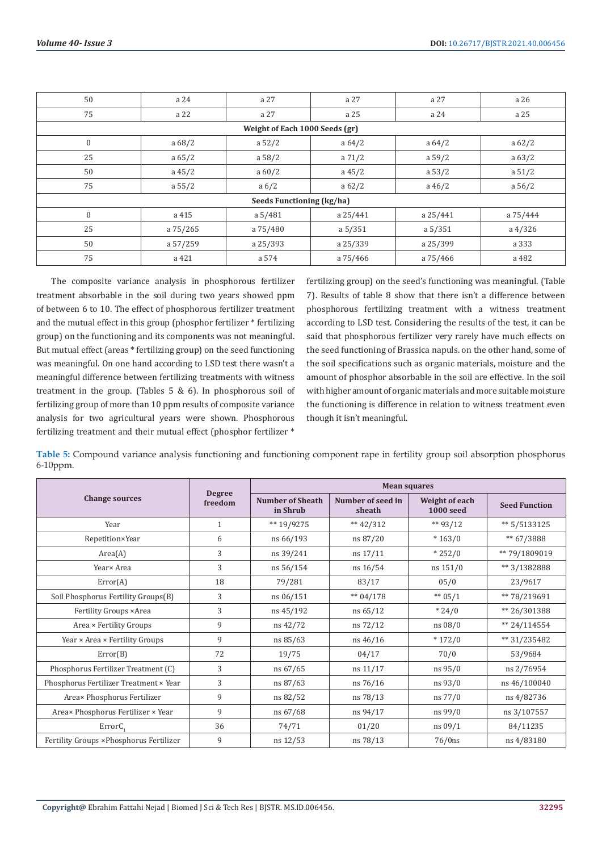| 50                                                             | a 24      | a 27                      | a 27      | a 27      | a 26       |  |  |  |  |  |
|----------------------------------------------------------------|-----------|---------------------------|-----------|-----------|------------|--|--|--|--|--|
| 75                                                             | a 22      | a 27                      | a 25      | a 24      | a 25       |  |  |  |  |  |
| Weight of Each 1000 Seeds (gr)                                 |           |                           |           |           |            |  |  |  |  |  |
| $\mathbf{0}$<br>a 68/2<br>a 52/2<br>a 64/2<br>a 62/2<br>a 64/2 |           |                           |           |           |            |  |  |  |  |  |
| 25                                                             | a 65/2    | a 58/2                    | a 71/2    | a 59/2    | a 63/2     |  |  |  |  |  |
| 50                                                             | $a\,45/2$ | a 60/2                    | $a\,45/2$ | a 53/2    | a 51/2     |  |  |  |  |  |
| 75                                                             | a 55/2    | $a\sqrt{6}/2$             | a 62/2    | $a\,46/2$ | a 56/2     |  |  |  |  |  |
|                                                                |           | Seeds Functioning (kg/ha) |           |           |            |  |  |  |  |  |
| $\mathbf{0}$                                                   | a 415     | a 5/481                   | a 25/441  | a 25/441  | a 75/444   |  |  |  |  |  |
| 25                                                             | a 75/265  | a 75/480                  | a 5/351   | a 5/351   | $a\,4/326$ |  |  |  |  |  |
| 50                                                             | a 57/259  | a 25/393                  | a 25/339  | a 25/399  | a 333      |  |  |  |  |  |
| 75                                                             | a 421     | a 574                     | a 75/466  | a 75/466  | a 482      |  |  |  |  |  |

The composite variance analysis in phosphorous fertilizer treatment absorbable in the soil during two years showed ppm of between 6 to 10. The effect of phosphorous fertilizer treatment and the mutual effect in this group (phosphor fertilizer \* fertilizing group) on the functioning and its components was not meaningful. But mutual effect (areas \* fertilizing group) on the seed functioning was meaningful. On one hand according to LSD test there wasn't a meaningful difference between fertilizing treatments with witness treatment in the group. (Tables 5 & 6). In phosphorous soil of fertilizing group of more than 10 ppm results of composite variance analysis for two agricultural years were shown. Phosphorous fertilizing treatment and their mutual effect (phosphor fertilizer \*

fertilizing group) on the seed's functioning was meaningful. (Table 7). Results of table 8 show that there isn't a difference between phosphorous fertilizing treatment with a witness treatment according to LSD test. Considering the results of the test, it can be said that phosphorous fertilizer very rarely have much effects on the seed functioning of Brassica napuls. on the other hand, some of the soil specifications such as organic materials, moisture and the amount of phosphor absorbable in the soil are effective. In the soil with higher amount of organic materials and more suitable moisture the functioning is difference in relation to witness treatment even though it isn't meaningful.

**Table 5:** Compound variance analysis functioning and functioning component rape in fertility group soil absorption phosphorus 6-10ppm.

|                                          |                          | <b>Mean squares</b>          |                             |                                    |                      |  |
|------------------------------------------|--------------------------|------------------------------|-----------------------------|------------------------------------|----------------------|--|
| <b>Change sources</b>                    | <b>Degree</b><br>freedom | Number of Sheath<br>in Shrub | Number of seed in<br>sheath | Weight of each<br><b>1000 seed</b> | <b>Seed Function</b> |  |
| Year                                     | $\mathbf{1}$             | ** 19/9275                   | ** $42/312$                 | ** $93/12$                         | ** 5/5133125         |  |
| Repetition×Year                          | 6                        | ns 66/193                    | ns 87/20                    | $*163/0$                           | ** 67/3888           |  |
| Area(A)                                  | 3                        | ns 39/241                    | ns 17/11                    | $*252/0$                           | ** 79/1809019        |  |
| Year× Area                               | 3                        | ns 56/154                    | ns 16/54                    | ns 151/0                           | ** 3/1382888         |  |
| Error(A)                                 | 18                       | 79/281                       | 83/17                       | 05/0                               | 23/9617              |  |
| Soil Phosphorus Fertility Groups(B)      | 3                        | ns 06/151                    | ** $04/178$                 | ** $05/1$                          | ** 78/219691         |  |
| Fertility Groups × Area                  | 3                        | ns 45/192                    | ns 65/12                    | $*24/0$                            | ** 26/301388         |  |
| Area × Fertility Groups                  | 9                        | ns 42/72                     | ns 72/12                    | ns 08/0                            | ** $24/114554$       |  |
| Year × Area × Fertility Groups           | 9                        | ns 85/63                     | ns 46/16                    | $*172/0$                           | ** 31/235482         |  |
| Error(B)                                 | 72                       | 19/75                        | 04/17                       | 70/0                               | 53/9684              |  |
| Phosphorus Fertilizer Treatment (C)      | 3                        | ns 67/65                     | ns 11/17                    | ns 95/0                            | ns 2/76954           |  |
| Phosphorus Fertilizer Treatment × Year   | 3                        | ns 87/63                     | ns 76/16                    | ns 93/0                            | ns 46/100040         |  |
| Area× Phosphorus Fertilizer              | 9                        | ns 82/52                     | ns 78/13                    | ns 77/0                            | ns 4/82736           |  |
| Area× Phosphorus Fertilizer × Year       | 9                        | ns 67/68                     | ns 94/17                    | ns 99/0                            | ns 3/107557          |  |
| ErrorC <sub>1</sub>                      | 36                       | 74/71                        | 01/20                       | ns 09/1                            | 84/11235             |  |
| Fertility Groups × Phosphorus Fertilizer | 9                        | ns 12/53                     | ns 78/13                    | 76/0ns                             | ns 4/83180           |  |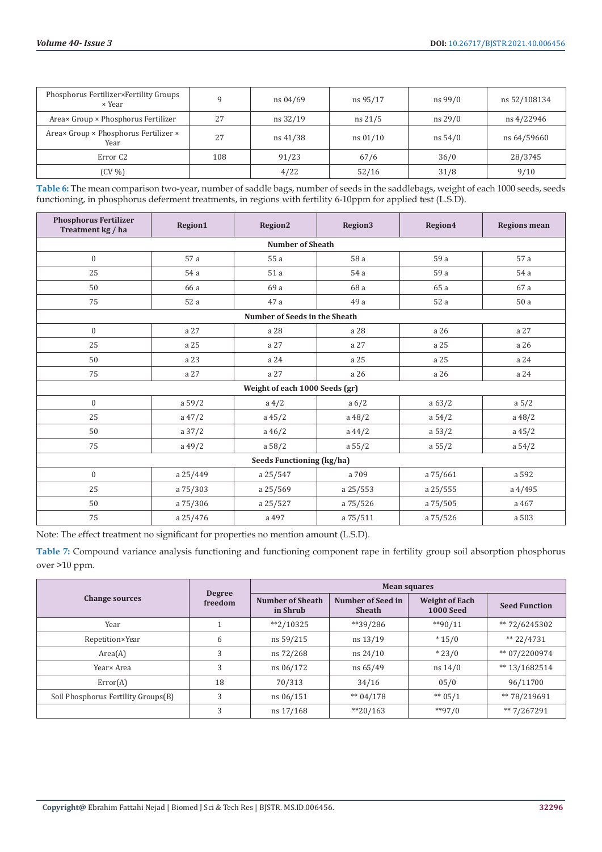| Phosphorus Fertilizer×Fertility Groups<br>× Year |     | ns 04/69 | ns 95/17          | ns 99/0 | ns 52/108134 |
|--------------------------------------------------|-----|----------|-------------------|---------|--------------|
| Area× Group × Phosphorus Fertilizer              | 27  | ns 32/19 | $ns \frac{21}{5}$ | ns 29/0 | ns 4/22946   |
| Areax Group × Phosphorus Fertilizer ×<br>Year    | 27  | ns 41/38 | ns 01/10          | ns 54/0 | ns 64/59660  |
| Error C2                                         | 108 | 91/23    | 67/6              | 36/0    | 28/3745      |
| $(CV\%)$                                         |     | 4/22     | 52/16             | 31/8    | 9/10         |

**Table 6:** The mean comparison two-year, number of saddle bags, number of seeds in the saddlebags, weight of each 1000 seeds, seeds functioning, in phosphorus deferment treatments, in regions with fertility 6-10ppm for applied test (L.S.D).

| <b>Phosphorus Fertilizer</b><br>Treatment kg / ha | Region1   | Region2                        | Region3       | Region4  | <b>Regions mean</b> |  |  |  |  |  |
|---------------------------------------------------|-----------|--------------------------------|---------------|----------|---------------------|--|--|--|--|--|
| <b>Number of Sheath</b>                           |           |                                |               |          |                     |  |  |  |  |  |
| $\boldsymbol{0}$                                  | 57 a      | 55a                            | 58 a          | 59 a     | 57 a                |  |  |  |  |  |
| 25                                                | 54 a      | 51a                            | 54 a          | 59 a     | 54 a                |  |  |  |  |  |
| 50                                                | 66 a      | 69 a                           | 68 a          | 65 a     | 67 a                |  |  |  |  |  |
| 75                                                | 52a       | 47 a                           | 49 a          | 52a      | 50a                 |  |  |  |  |  |
|                                                   |           | Number of Seeds in the Sheath  |               |          |                     |  |  |  |  |  |
| $\mathbf{0}$                                      | a 27      | a 28                           | a 28          | a 26     | a 27                |  |  |  |  |  |
| 25                                                | a 25      | a 27                           | a 27          | a 25     | a 26                |  |  |  |  |  |
| 50                                                | a 23      | a 24                           | a 25          | a 25     | a 24                |  |  |  |  |  |
| 75                                                | a 27      | a 27                           | a 26          | a 26     | a 24                |  |  |  |  |  |
|                                                   |           | Weight of each 1000 Seeds (gr) |               |          |                     |  |  |  |  |  |
| $\mathbf{0}$                                      | a 59/2    | $a\ 4/2$                       | $a\sqrt{6}/2$ | a 63/2   | a 5/2               |  |  |  |  |  |
| 25                                                | $a\,47/2$ | $a\,45/2$                      | $a\ 48/2$     | a 54/2   | a $48/2$            |  |  |  |  |  |
| 50                                                | a 37/2    | $a\,46/2$                      | a $44/2$      | a 53/2   | $a\,45/2$           |  |  |  |  |  |
| 75                                                | $a\,49/2$ | a 58/2                         | a 55/2        | a 55/2   | a 54/2              |  |  |  |  |  |
|                                                   |           | Seeds Functioning (kg/ha)      |               |          |                     |  |  |  |  |  |
| $\mathbf{0}$                                      | a 25/449  | a 25/547                       | a 709         | a 75/661 | a 592               |  |  |  |  |  |
| 25                                                | a 75/303  | a 25/569                       | a 25/553      | a 25/555 | $a\,4/495$          |  |  |  |  |  |
| 50                                                | a 75/306  | a 25/527                       | a 75/526      | a 75/505 | a 467               |  |  |  |  |  |
| 75                                                | a 25/476  | a 497                          | a 75/511      | a 75/526 | a 503               |  |  |  |  |  |

Note: The effect treatment no significant for properties no mention amount (L.S.D).

**Table 7:** Compound variance analysis functioning and functioning component rape in fertility group soil absorption phosphorus over >10 ppm.

|                                     |                          | <b>Mean squares</b>          |                                    |                                           |                      |  |
|-------------------------------------|--------------------------|------------------------------|------------------------------------|-------------------------------------------|----------------------|--|
| <b>Change sources</b>               | <b>Degree</b><br>freedom | Number of Sheath<br>in Shrub | Number of Seed in<br><b>Sheath</b> | <b>Weight of Each</b><br><b>1000 Seed</b> | <b>Seed Function</b> |  |
| Year                                |                          | $*2/10325$                   | $*$ $39/286$                       | $*$ 90/11                                 | ** 72/6245302        |  |
| Repetition×Year                     | 6                        | ns 59/215                    | ns 13/19                           | $*15/0$                                   | ** $22/4731$         |  |
| Area(A)                             | 3                        | ns 72/268                    | ns 24/10                           | $*23/0$                                   | ** 07/2200974        |  |
| Year× Area                          | 3                        | ns 06/172                    | ns 65/49                           | $ns\ 14/0$                                | ** 13/1682514        |  |
| Error(A)                            | 18                       | 70/313                       | 34/16                              | 05/0                                      | 96/11700             |  |
| Soil Phosphorus Fertility Groups(B) | 3                        | ns 06/151                    | $** 04/178$                        | $** 05/1$                                 | ** 78/219691         |  |
|                                     | 3                        | ns 17/168                    | $*20/163$                          | $*$ $97/0$                                | ** 7/267291          |  |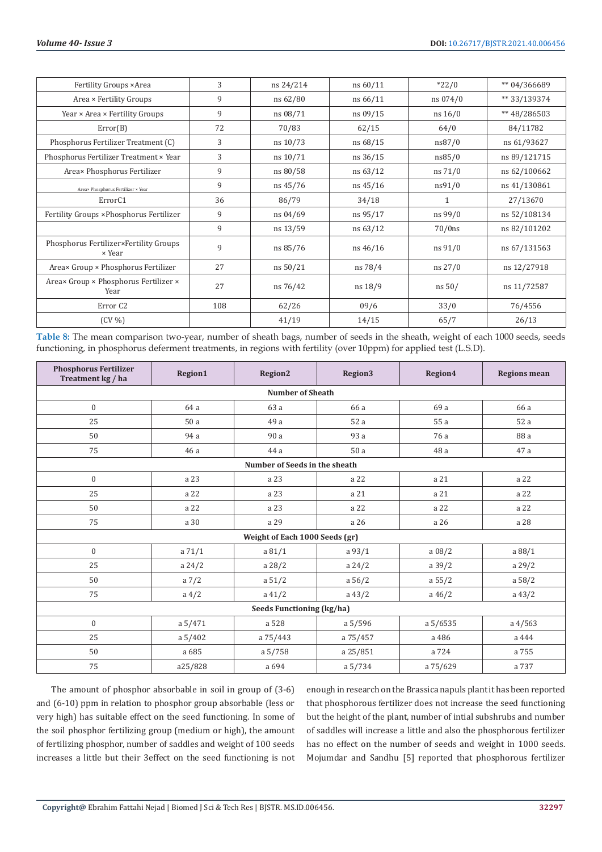| Fertility Groups × Area                          | 3   | ns 24/214 | ns 60/11    | $*22/0$      | ** 04/366689 |
|--------------------------------------------------|-----|-----------|-------------|--------------|--------------|
| Area × Fertility Groups                          | 9   | ns 62/80  | ns 66/11    | ns 074/0     | ** 33/139374 |
| Year × Area × Fertility Groups                   | 9   | ns 08/71  | ns 09/15    | ns 16/0      | ** 48/286503 |
| Error(B)                                         | 72  | 70/83     | 62/15       | 64/0         | 84/11782     |
| Phosphorus Fertilizer Treatment (C)              | 3   | ns 10/73  | ns 68/15    | ns87/0       | ns 61/93627  |
| Phosphorus Fertilizer Treatment × Year           | 3   | ns 10/71  | ns 36/15    | ns85/0       | ns 89/121715 |
| Area× Phosphorus Fertilizer                      | 9   | ns 80/58  | $ns\ 63/12$ | $ns\ 71/0$   | ns 62/100662 |
| Area× Phosphorus Fertilizer × Year               | 9   | ns 45/76  | ns 45/16    | ns91/0       | ns 41/130861 |
| Error <sub>C1</sub>                              | 36  | 86/79     | 34/18       | $\mathbf{1}$ | 27/13670     |
| Fertility Groups × Phosphorus Fertilizer         | 9   | ns 04/69  | ns 95/17    | ns 99/0      | ns 52/108134 |
|                                                  | 9   | ns 13/59  | ns 63/12    | $70/0$ ns    | ns 82/101202 |
| Phosphorus Fertilizer×Fertility Groups<br>× Year | 9   | ns 85/76  | $ns\,46/16$ | $ns\,91/0$   | ns 67/131563 |
| Areax Group × Phosphorus Fertilizer              | 27  | ns 50/21  | ns 78/4     | $ns\,27/0$   | ns 12/27918  |
| Areax Group × Phosphorus Fertilizer ×<br>Year    | 27  | ns 76/42  | ns 18/9     | ns 50/       | ns 11/72587  |
| Error <sub>C2</sub>                              | 108 | 62/26     | 09/6        | 33/0         | 76/4556      |
| $(CV\%)$                                         |     | 41/19     | 14/15       | 65/7         | 26/13        |

**Table 8:** The mean comparison two-year, number of sheath bags, number of seeds in the sheath, weight of each 1000 seeds, seeds functioning, in phosphorus deferment treatments, in regions with fertility (over 10ppm) for applied test (L.S.D).

| <b>Phosphorus Fertilizer</b><br>Treatment kg / ha | Region1  | Region2                        | Region3  | Region4   | <b>Regions mean</b> |  |  |  |  |  |
|---------------------------------------------------|----------|--------------------------------|----------|-----------|---------------------|--|--|--|--|--|
| <b>Number of Sheath</b>                           |          |                                |          |           |                     |  |  |  |  |  |
| $\mathbf{0}$                                      | 64 a     | 63 a                           | 66 a     | 69 a      | 66 a                |  |  |  |  |  |
| 25                                                | 50 a     | 49 a                           | 52 a     | 55 a      | 52 a                |  |  |  |  |  |
| 50                                                | 94 a     | 90 a                           | 93 a     | 76 a      | 88 a                |  |  |  |  |  |
| 75                                                | 46a      | 44 a                           | 50a      | 48 a      | 47 a                |  |  |  |  |  |
|                                                   |          | Number of Seeds in the sheath  |          |           |                     |  |  |  |  |  |
| $\boldsymbol{0}$                                  | a 23     | a 23                           | a 22     | a 21      | a 22                |  |  |  |  |  |
| 25                                                | a 22     | a 23                           | a 21     | a 21      | a 22                |  |  |  |  |  |
| 50                                                | a 22     | a 23                           | a 22     | a 22      | a 22                |  |  |  |  |  |
| 75                                                | a 30     | a 29                           | a 26     | a 26      | a 28                |  |  |  |  |  |
|                                                   |          | Weight of Each 1000 Seeds (gr) |          |           |                     |  |  |  |  |  |
| $\mathbf{0}$                                      | a 71/1   | a 81/1                         | a 93/1   | a 08/2    | a 88/1              |  |  |  |  |  |
| 25                                                | a $24/2$ | a 28/2                         | a 24/2   | a 39/2    | a 29/2              |  |  |  |  |  |
| 50                                                | a $7/2$  | a 51/2                         | a 56/2   | a 55/2    | a 58/2              |  |  |  |  |  |
| 75                                                | $a\ 4/2$ | $a\ 41/2$                      | a $43/2$ | $a\,46/2$ | a $43/2$            |  |  |  |  |  |
|                                                   |          | Seeds Functioning (kg/ha)      |          |           |                     |  |  |  |  |  |
| $\mathbf{0}$                                      | a 5/471  | a 528                          | a 5/596  | a 5/6535  | $a\,4/563$          |  |  |  |  |  |
| 25                                                | a 5/402  | a 75/443                       | a 75/457 | a 486     | a 444               |  |  |  |  |  |
| 50                                                | a 685    | a 5/758                        | a 25/851 | a 724     | a 755               |  |  |  |  |  |
| 75                                                | a25/828  | a 694                          | a 5/734  | a 75/629  | a 737               |  |  |  |  |  |

The amount of phosphor absorbable in soil in group of (3-6) and (6-10) ppm in relation to phosphor group absorbable (less or very high) has suitable effect on the seed functioning. In some of the soil phosphor fertilizing group (medium or high), the amount of fertilizing phosphor, number of saddles and weight of 100 seeds increases a little but their 3effect on the seed functioning is not

enough in research on the Brassica napuls plant it has been reported that phosphorous fertilizer does not increase the seed functioning but the height of the plant, number of intial subshrubs and number of saddles will increase a little and also the phosphorous fertilizer has no effect on the number of seeds and weight in 1000 seeds. Mojumdar and Sandhu [5] reported that phosphorous fertilizer